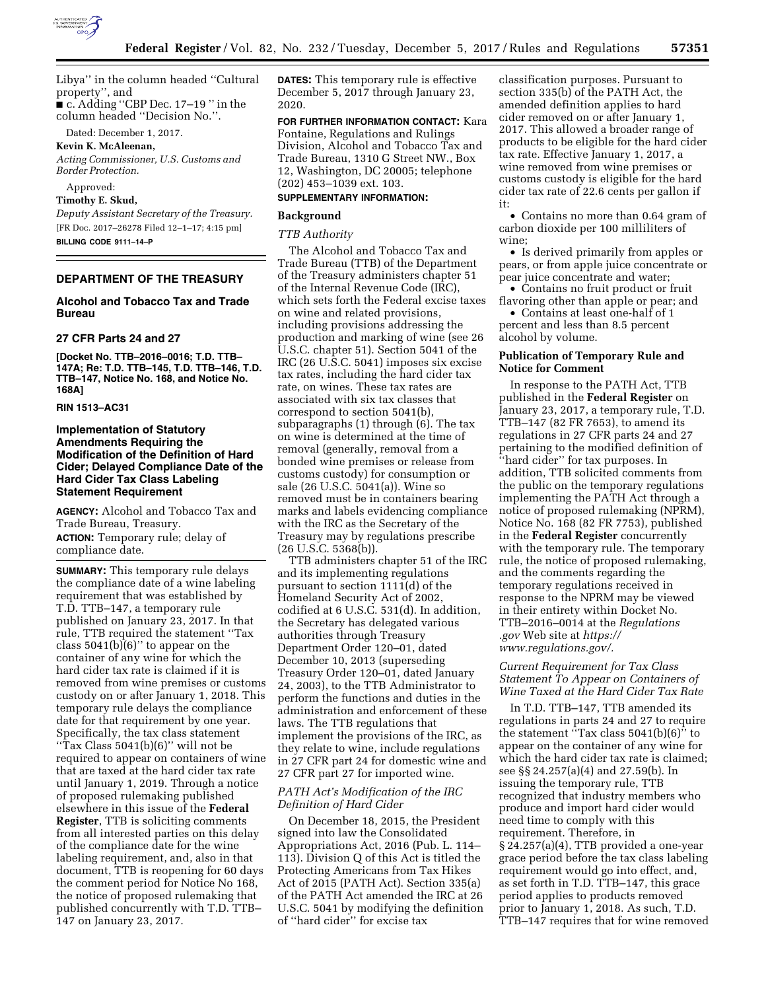

Libya'' in the column headed ''Cultural property'', and

■ c. Adding ''CBP Dec. 17–19 '' in the column headed ''Decision No.''.

Dated: December 1, 2017.

# **Kevin K. McAleenan,**

*Acting Commissioner, U.S. Customs and Border Protection.* 

# Approved:

**Timothy E. Skud,** 

*Deputy Assistant Secretary of the Treasury.*  [FR Doc. 2017–26278 Filed 12–1–17; 4:15 pm] **BILLING CODE 9111–14–P** 

### **DEPARTMENT OF THE TREASURY**

# **Alcohol and Tobacco Tax and Trade Bureau**

#### **27 CFR Parts 24 and 27**

**[Docket No. TTB–2016–0016; T.D. TTB– 147A; Re: T.D. TTB–145, T.D. TTB–146, T.D. TTB–147, Notice No. 168, and Notice No. 168A]** 

#### **RIN 1513–AC31**

## **Implementation of Statutory Amendments Requiring the Modification of the Definition of Hard Cider; Delayed Compliance Date of the Hard Cider Tax Class Labeling Statement Requirement**

**AGENCY:** Alcohol and Tobacco Tax and Trade Bureau, Treasury. **ACTION:** Temporary rule; delay of compliance date.

**SUMMARY:** This temporary rule delays the compliance date of a wine labeling requirement that was established by T.D. TTB–147, a temporary rule published on January 23, 2017. In that rule, TTB required the statement ''Tax class  $5041(b)(6)$ " to appear on the container of any wine for which the hard cider tax rate is claimed if it is removed from wine premises or customs custody on or after January 1, 2018. This temporary rule delays the compliance date for that requirement by one year. Specifically, the tax class statement "Tax Class  $5041(b)(6)$ " will not be required to appear on containers of wine that are taxed at the hard cider tax rate until January 1, 2019. Through a notice of proposed rulemaking published elsewhere in this issue of the **Federal Register**, TTB is soliciting comments from all interested parties on this delay of the compliance date for the wine labeling requirement, and, also in that document, TTB is reopening for 60 days the comment period for Notice No 168, the notice of proposed rulemaking that published concurrently with T.D. TTB– 147 on January 23, 2017.

**DATES:** This temporary rule is effective December 5, 2017 through January 23, 2020.

**FOR FURTHER INFORMATION CONTACT:** Kara Fontaine, Regulations and Rulings Division, Alcohol and Tobacco Tax and Trade Bureau, 1310 G Street NW., Box 12, Washington, DC 20005; telephone (202) 453–1039 ext. 103.

# **SUPPLEMENTARY INFORMATION:**

### **Background**

# *TTB Authority*

The Alcohol and Tobacco Tax and Trade Bureau (TTB) of the Department of the Treasury administers chapter 51 of the Internal Revenue Code (IRC), which sets forth the Federal excise taxes on wine and related provisions, including provisions addressing the production and marking of wine (see 26 U.S.C. chapter 51). Section 5041 of the IRC (26 U.S.C. 5041) imposes six excise tax rates, including the hard cider tax rate, on wines. These tax rates are associated with six tax classes that correspond to section 5041(b), subparagraphs (1) through (6). The tax on wine is determined at the time of removal (generally, removal from a bonded wine premises or release from customs custody) for consumption or sale (26 U.S.C. 5041(a)). Wine so removed must be in containers bearing marks and labels evidencing compliance with the IRC as the Secretary of the Treasury may by regulations prescribe  $(26 \text{ U.S.C. } 5368(b))$ .

TTB administers chapter 51 of the IRC and its implementing regulations pursuant to section 1111(d) of the Homeland Security Act of 2002, codified at 6 U.S.C. 531(d). In addition, the Secretary has delegated various authorities through Treasury Department Order 120–01, dated December 10, 2013 (superseding Treasury Order 120–01, dated January 24, 2003), to the TTB Administrator to perform the functions and duties in the administration and enforcement of these laws. The TTB regulations that implement the provisions of the IRC, as they relate to wine, include regulations in 27 CFR part 24 for domestic wine and 27 CFR part 27 for imported wine.

### *PATH Act's Modification of the IRC Definition of Hard Cider*

On December 18, 2015, the President signed into law the Consolidated Appropriations Act, 2016 (Pub. L. 114– 113). Division Q of this Act is titled the Protecting Americans from Tax Hikes Act of 2015 (PATH Act). Section 335(a) of the PATH Act amended the IRC at 26 U.S.C. 5041 by modifying the definition of ''hard cider'' for excise tax

classification purposes. Pursuant to section 335(b) of the PATH Act, the amended definition applies to hard cider removed on or after January 1, 2017. This allowed a broader range of products to be eligible for the hard cider tax rate. Effective January 1, 2017, a wine removed from wine premises or customs custody is eligible for the hard cider tax rate of 22.6 cents per gallon if it:

• Contains no more than 0.64 gram of carbon dioxide per 100 milliliters of wine;

• Is derived primarily from apples or pears, or from apple juice concentrate or pear juice concentrate and water;

• Contains no fruit product or fruit flavoring other than apple or pear; and

• Contains at least one-half of 1 percent and less than 8.5 percent alcohol by volume.

### **Publication of Temporary Rule and Notice for Comment**

In response to the PATH Act, TTB published in the **Federal Register** on January 23, 2017, a temporary rule, T.D. TTB–147 (82 FR 7653), to amend its regulations in 27 CFR parts 24 and 27 pertaining to the modified definition of ''hard cider'' for tax purposes. In addition, TTB solicited comments from the public on the temporary regulations implementing the PATH Act through a notice of proposed rulemaking (NPRM), Notice No. 168 (82 FR 7753), published in the **Federal Register** concurrently with the temporary rule. The temporary rule, the notice of proposed rulemaking, and the comments regarding the temporary regulations received in response to the NPRM may be viewed in their entirety within Docket No. TTB–2016–0014 at the *Regulations .gov* Web site at *[https://](https://www.regulations.gov) [www.regulations.gov/.](https://www.regulations.gov)* 

## *Current Requirement for Tax Class Statement To Appear on Containers of Wine Taxed at the Hard Cider Tax Rate*

In T.D. TTB–147, TTB amended its regulations in parts 24 and 27 to require the statement  $\cdot$ <sup>7</sup>Tax class 5041(b)(6)<sup> $\cdot$ 7</sup> to appear on the container of any wine for which the hard cider tax rate is claimed; see §§ 24.257(a)(4) and 27.59(b). In issuing the temporary rule, TTB recognized that industry members who produce and import hard cider would need time to comply with this requirement. Therefore, in § 24.257(a)(4), TTB provided a one-year grace period before the tax class labeling requirement would go into effect, and, as set forth in T.D. TTB–147, this grace period applies to products removed prior to January 1, 2018. As such, T.D. TTB–147 requires that for wine removed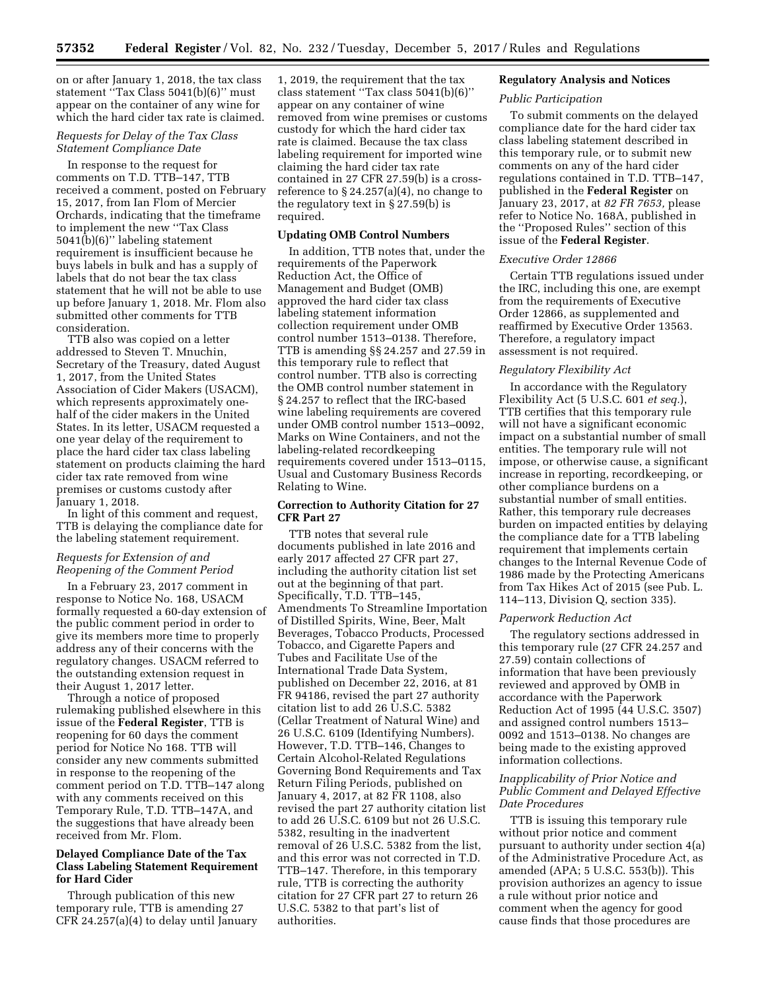on or after January 1, 2018, the tax class statement ''Tax Class 5041(b)(6)'' must appear on the container of any wine for which the hard cider tax rate is claimed.

# *Requests for Delay of the Tax Class Statement Compliance Date*

In response to the request for comments on T.D. TTB–147, TTB received a comment, posted on February 15, 2017, from Ian Flom of Mercier Orchards, indicating that the timeframe to implement the new ''Tax Class 5041(b)(6)'' labeling statement requirement is insufficient because he buys labels in bulk and has a supply of labels that do not bear the tax class statement that he will not be able to use up before January 1, 2018. Mr. Flom also submitted other comments for TTB consideration.

TTB also was copied on a letter addressed to Steven T. Mnuchin, Secretary of the Treasury, dated August 1, 2017, from the United States Association of Cider Makers (USACM), which represents approximately onehalf of the cider makers in the United States. In its letter, USACM requested a one year delay of the requirement to place the hard cider tax class labeling statement on products claiming the hard cider tax rate removed from wine premises or customs custody after January 1, 2018.

In light of this comment and request, TTB is delaying the compliance date for the labeling statement requirement.

## *Requests for Extension of and Reopening of the Comment Period*

In a February 23, 2017 comment in response to Notice No. 168, USACM formally requested a 60-day extension of the public comment period in order to give its members more time to properly address any of their concerns with the regulatory changes. USACM referred to the outstanding extension request in their August 1, 2017 letter.

Through a notice of proposed rulemaking published elsewhere in this issue of the **Federal Register**, TTB is reopening for 60 days the comment period for Notice No 168. TTB will consider any new comments submitted in response to the reopening of the comment period on T.D. TTB–147 along with any comments received on this Temporary Rule, T.D. TTB–147A, and the suggestions that have already been received from Mr. Flom.

# **Delayed Compliance Date of the Tax Class Labeling Statement Requirement for Hard Cider**

Through publication of this new temporary rule, TTB is amending 27 CFR 24.257(a)(4) to delay until January

1, 2019, the requirement that the tax class statement ''Tax class 5041(b)(6)'' appear on any container of wine removed from wine premises or customs custody for which the hard cider tax rate is claimed. Because the tax class labeling requirement for imported wine claiming the hard cider tax rate contained in 27 CFR 27.59(b) is a crossreference to  $\S 24.257(a)(4)$ , no change to the regulatory text in § 27.59(b) is required.

# **Updating OMB Control Numbers**

In addition, TTB notes that, under the requirements of the Paperwork Reduction Act, the Office of Management and Budget (OMB) approved the hard cider tax class labeling statement information collection requirement under OMB control number 1513–0138. Therefore, TTB is amending §§ 24.257 and 27.59 in this temporary rule to reflect that control number. TTB also is correcting the OMB control number statement in § 24.257 to reflect that the IRC-based wine labeling requirements are covered under OMB control number 1513–0092, Marks on Wine Containers, and not the labeling-related recordkeeping requirements covered under 1513–0115, Usual and Customary Business Records Relating to Wine.

## **Correction to Authority Citation for 27 CFR Part 27**

TTB notes that several rule documents published in late 2016 and early 2017 affected 27 CFR part 27, including the authority citation list set out at the beginning of that part. Specifically, T.D. TTB–145, Amendments To Streamline Importation of Distilled Spirits, Wine, Beer, Malt Beverages, Tobacco Products, Processed Tobacco, and Cigarette Papers and Tubes and Facilitate Use of the International Trade Data System, published on December 22, 2016, at 81 FR 94186, revised the part 27 authority citation list to add 26 U.S.C. 5382 (Cellar Treatment of Natural Wine) and 26 U.S.C. 6109 (Identifying Numbers). However, T.D. TTB–146, Changes to Certain Alcohol-Related Regulations Governing Bond Requirements and Tax Return Filing Periods, published on January 4, 2017, at 82 FR 1108, also revised the part 27 authority citation list to add 26 U.S.C. 6109 but not 26 U.S.C. 5382, resulting in the inadvertent removal of 26 U.S.C. 5382 from the list, and this error was not corrected in T.D. TTB–147. Therefore, in this temporary rule, TTB is correcting the authority citation for 27 CFR part 27 to return 26 U.S.C. 5382 to that part's list of authorities.

# **Regulatory Analysis and Notices**

### *Public Participation*

To submit comments on the delayed compliance date for the hard cider tax class labeling statement described in this temporary rule, or to submit new comments on any of the hard cider regulations contained in T.D. TTB–147, published in the **Federal Register** on January 23, 2017, at *82 FR 7653,* please refer to Notice No. 168A, published in the ''Proposed Rules'' section of this issue of the **Federal Register**.

### *Executive Order 12866*

Certain TTB regulations issued under the IRC, including this one, are exempt from the requirements of Executive Order 12866, as supplemented and reaffirmed by Executive Order 13563. Therefore, a regulatory impact assessment is not required.

## *Regulatory Flexibility Act*

In accordance with the Regulatory Flexibility Act (5 U.S.C. 601 *et seq.*), TTB certifies that this temporary rule will not have a significant economic impact on a substantial number of small entities. The temporary rule will not impose, or otherwise cause, a significant increase in reporting, recordkeeping, or other compliance burdens on a substantial number of small entities. Rather, this temporary rule decreases burden on impacted entities by delaying the compliance date for a TTB labeling requirement that implements certain changes to the Internal Revenue Code of 1986 made by the Protecting Americans from Tax Hikes Act of 2015 (see Pub. L. 114–113, Division Q, section 335).

### *Paperwork Reduction Act*

The regulatory sections addressed in this temporary rule (27 CFR 24.257 and 27.59) contain collections of information that have been previously reviewed and approved by OMB in accordance with the Paperwork Reduction Act of 1995 (44 U.S.C. 3507) and assigned control numbers 1513– 0092 and 1513–0138. No changes are being made to the existing approved information collections.

## *Inapplicability of Prior Notice and Public Comment and Delayed Effective Date Procedures*

TTB is issuing this temporary rule without prior notice and comment pursuant to authority under section 4(a) of the Administrative Procedure Act, as amended (APA; 5 U.S.C. 553(b)). This provision authorizes an agency to issue a rule without prior notice and comment when the agency for good cause finds that those procedures are